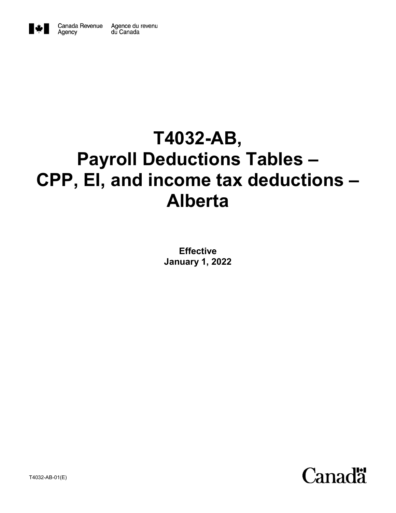

Agency

# **T4032-AB, Payroll Deductions Tables – CPP, EI, and income tax deductions – Alberta**

**Effective January 1, 2022**



T4032-AB-01(E)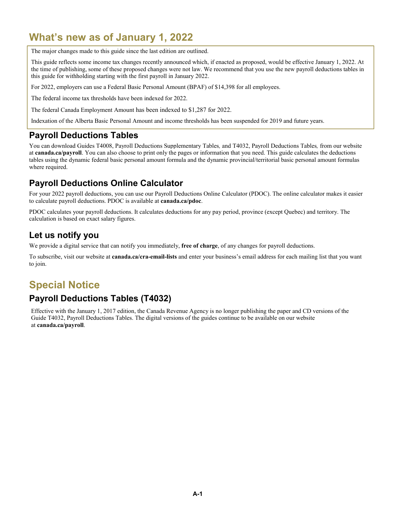### **What's new as of January 1, 2022**

The major changes made to this guide since the last edition are outlined.

This guide reflects some income tax changes recently announced which, if enacted as proposed, would be effective January 1, 2022. At the time of publishing, some of these proposed changes were not law. We recommend that you use the new payroll deductions tables in this guide for withholding starting with the first payroll in January 2022.

For 2022, employers can use a Federal Basic Personal Amount (BPAF) of \$14,398 for all employees.

The federal income tax thresholds have been indexed for 2022.

The federal Canada Employment Amount has been indexed to \$1,287 for 2022.

Indexation of the Alberta Basic Personal Amount and income thresholds has been suspended for 2019 and future years.

#### **Payroll Deductions Tables**

You can download Guides T4008, Payroll Deductions Supplementary Tables*,* and T4032, Payroll Deductions Tables*,* from our website at **canada.ca/payroll**. You can also choose to print only the pages or information that you need. This guide calculates the deductions tables using the dynamic federal basic personal amount formula and the dynamic provincial/territorial basic personal amount formulas where required.

### **Payroll Deductions Online Calculator**

For your 2022 payroll deductions, you can use our Payroll Deductions Online Calculator (PDOC). The online calculator makes it easier to calculate payroll deductions. PDOC is available at **canada.ca/pdoc**.

PDOC calculates your payroll deductions. It calculates deductions for any pay period, province (except Quebec) and territory. The calculation is based on exact salary figures.

### **Let us notify you**

We provide a digital service that can notify you immediately, **free of charge**, of any changes for payroll deductions.

To subscribe, visit our website at **canada.ca/cra-email-lists** and enter your business's email address for each mailing list that you want to join.

### **Special Notice**

### **Payroll Deductions Tables (T4032)**

Effective with the January 1, 2017 edition, the Canada Revenue Agency is no longer publishing the paper and CD versions of the Guide T4032, Payroll Deductions Tables. The digital versions of the guides continue to be available on our website at **canada.ca/payroll**.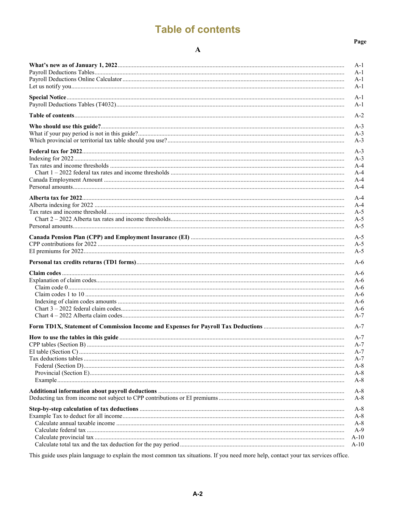## **Table of contents**

#### $\mathbf{A}$

| A-1            |
|----------------|
| A-1<br>A-1     |
| A-1            |
|                |
| $A-1$<br>$A-1$ |
| $A-2$          |
| $A-3$          |
| $A-3$          |
| $A-3$          |
| $A-3$          |
| $A-3$          |
| A-4            |
| $A-4$          |
| $A-4$          |
| $A-4$          |
| $A-4$          |
| A-4            |
| $A-5$          |
| $A-5$<br>$A-5$ |
|                |
| $A-5$          |
| $A-5$<br>$A-5$ |
|                |
| $A-6$          |
| A-6            |
| A-6            |
| A-6            |
| A-6            |
| $A-6$          |
| A-6<br>$A-7$   |
|                |
| $A-7$          |
| $A-7$          |
| $A-7$          |
| A-7            |
| A-7            |
| A-8<br>$A-8$   |
| A-8            |
|                |
| $A-8$<br>A-8   |
| A-8            |
| $A-8$          |
| $A-8$          |
| $A-9$          |
| A-10           |
| A-10           |

This guide uses plain language to explain the most common tax situations. If you need more help, contact your tax services office.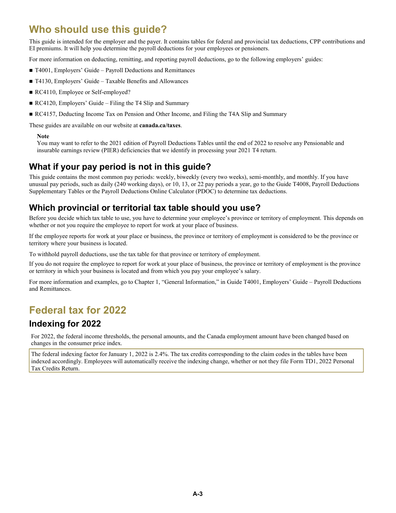### **Who should use this guide?**

This guide is intended for the employer and the payer. It contains tables for federal and provincial tax deductions, CPP contributions and EI premiums. It will help you determine the payroll deductions for your employees or pensioners.

For more information on deducting, remitting, and reporting payroll deductions, go to the following employers' guides:

- T4001, Employers' Guide Payroll Deductions and Remittances
- T4130, Employers' Guide Taxable Benefits and Allowances
- RC4110, Employee or Self-employed?
- RC4120, Employers' Guide Filing the T4 Slip and Summary
- RC4157, Deducting Income Tax on Pension and Other Income, and Filing the T4A Slip and Summary

These guides are available on our website at **canada.ca/taxes**.

#### **Note**

You may want to refer to the 2021 edition of Payroll Deductions Tables until the end of 2022 to resolve any Pensionable and insurable earnings review (PIER) deficiencies that we identify in processing your 2021 T4 return.

### **What if your pay period is not in this guide?**

This guide contains the most common pay periods: weekly, biweekly (every two weeks), semi-monthly, and monthly. If you have unusual pay periods, such as daily (240 working days), or 10, 13, or 22 pay periods a year, go to the Guide T4008, Payroll Deductions Supplementary Tables or the Payroll Deductions Online Calculator (PDOC) to determine tax deductions.

### **Which provincial or territorial tax table should you use?**

Before you decide which tax table to use, you have to determine your employee's province or territory of employment. This depends on whether or not you require the employee to report for work at your place of business.

If the employee reports for work at your place or business, the province or territory of employment is considered to be the province or territory where your business is located.

To withhold payroll deductions, use the tax table for that province or territory of employment.

If you do not require the employee to report for work at your place of business, the province or territory of employment is the province or territory in which your business is located and from which you pay your employee's salary.

For more information and examples, go to Chapter 1, "General Information," in Guide T4001, Employers' Guide – Payroll Deductions and Remittances.

### **Federal tax for 2022**

### **Indexing for 2022**

For 2022, the federal income thresholds, the personal amounts, and the Canada employment amount have been changed based on changes in the consumer price index.

The federal indexing factor for January 1, 2022 is 2.4%. The tax credits corresponding to the claim codes in the tables have been indexed accordingly. Employees will automatically receive the indexing change, whether or not they file Form TD1, 2022 Personal Tax Credits Return.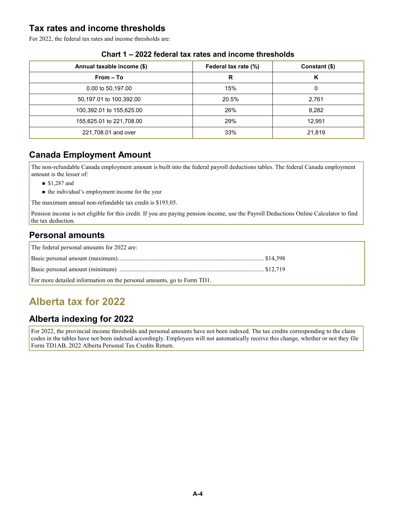### **Tax rates and income thresholds**

For 2022, the federal tax rates and income thresholds are:

| Annual taxable income (\$) | Federal tax rate (%) | Constant (\$) |
|----------------------------|----------------------|---------------|
| From – To                  | R                    | Κ             |
| 0.00 to 50,197.00          | 15%                  | 0             |
| 50,197.01 to 100,392.00    | 20.5%                | 2,761         |
| 100,392.01 to 155,625.00   | 26%                  | 8,282         |
| 155,625.01 to 221,708.00   | 29%                  | 12,951        |
| 221,708.01 and over        | 33%                  | 21,819        |

#### **Chart 1 – 2022 federal tax rates and income thresholds**

### **Canada Employment Amount**

The non-refundable Canada employment amount is built into the federal payroll deductions tables. The federal Canada employment amount is the lesser of:

- **\$1,287 and**
- $\blacksquare$  the individual's employment income for the year

The maximum annual non-refundable tax credit is \$193.05.

Pension income is not eligible for this credit. If you are paying pension income, use the Payroll Deductions Online Calculator to find the tax deduction*.*

### **Personal amounts**

| The federal personal amounts for 2022 are:                             |  |
|------------------------------------------------------------------------|--|
|                                                                        |  |
|                                                                        |  |
| For more detailed information on the personal amounts, go to Form TD1. |  |

## **Alberta tax for 2022**

### **Alberta indexing for 2022**

For 2022, the provincial income thresholds and personal amounts have not been indexed. The tax credits corresponding to the claim codes in the tables have not been indexed accordingly. Employees will not automatically receive this change, whether or not they file Form TD1AB, 2022 Alberta Personal Tax Credits Return.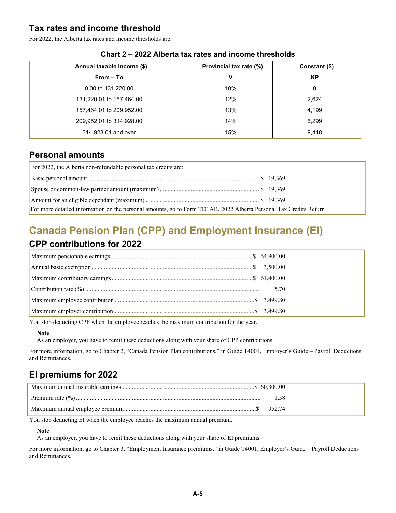### **Tax rates and income threshold**

For 2022, the Alberta tax rates and income thresholds are:

| Annual taxable income (\$) | Provincial tax rate (%) | Constant (\$) |
|----------------------------|-------------------------|---------------|
| $From - To$                | v                       | KP            |
| 0.00 to 131,220.00         | 10%                     | 0             |
| 131,220.01 to 157,464.00   | 12%                     | 2,624         |
| 157,464.01 to 209,952.00   | 13%                     | 4,199         |
| 209,952.01 to 314,928.00   | 14%                     | 6,299         |
| 314,928.01 and over        | 15%                     | 9,448         |

#### **Chart 2 – 2022 Alberta tax rates and income thresholds**

### **Personal amounts**

| For 2022, the Alberta non-refundable personal tax credits are:                                                     |  |
|--------------------------------------------------------------------------------------------------------------------|--|
|                                                                                                                    |  |
|                                                                                                                    |  |
|                                                                                                                    |  |
| For more detailed information on the personal amounts, go to Form TD1AB, 2022 Alberta Personal Tax Credits Return. |  |

## **Canada Pension Plan (CPP) and Employment Insurance (EI)**

### **CPP contributions for 2022**

You stop deducting CPP when the employee reaches the maximum contribution for the year.

#### **Note**

As an employer, you have to remit these deductions along with your share of CPP contributions.

For more information, go to Chapter 2, "Canada Pension Plan contributions," in Guide T4001, Employer's Guide – Payroll Deductions and Remittances*.*

### **EI premiums for 2022**

| - 1.58 |
|--------|
|        |

You stop deducting EI when the employee reaches the maximum annual premium.

#### **Note**

As an employer, you have to remit these deductions along with your share of EI premiums.

For more information, go to Chapter 3, "Employment Insurance premiums," in Guide T4001, Employer's Guide – Payroll Deductions and Remittances*.*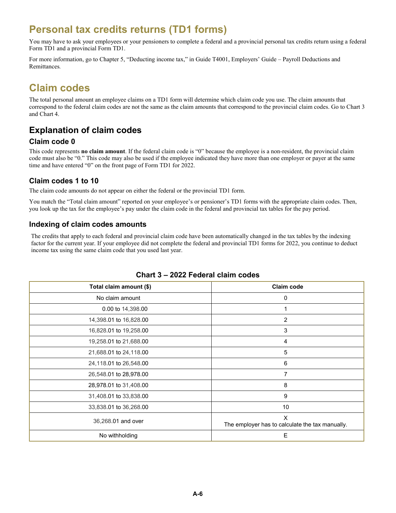### **Personal tax credits returns (TD1 forms)**

You may have to ask your employees or your pensioners to complete a federal and a provincial personal tax credits return using a federal Form TD1 and a provincial Form TD1.

For more information, go to Chapter 5, "Deducting income tax," in Guide T4001, Employers' Guide – Payroll Deductions and Remittances*.*

### **Claim codes**

The total personal amount an employee claims on a TD1 form will determine which claim code you use. The claim amounts that correspond to the federal claim codes are not the same as the claim amounts that correspond to the provincial claim codes. Go to Chart 3 and Chart 4.

### **Explanation of claim codes**

#### **Claim code 0**

This code represents **no claim amount**. If the federal claim code is "0" because the employee is a non-resident, the provincial claim code must also be "0." This code may also be used if the employee indicated they have more than one employer or payer at the same time and have entered "0" on the front page of Form TD1 for 2022.

#### **Claim codes 1 to 10**

The claim code amounts do not appear on either the federal or the provincial TD1 form.

You match the "Total claim amount" reported on your employee's or pensioner's TD1 forms with the appropriate claim codes. Then, you look up the tax for the employee's pay under the claim code in the federal and provincial tax tables for the pay period.

#### **Indexing of claim codes amounts**

The credits that apply to each federal and provincial claim code have been automatically changed in the tax tables by the indexing factor for the current year. If your employee did not complete the federal and provincial TD1 forms for 2022, you continue to deduct income tax using the same claim code that you used last year.

| Total claim amount (\$) | <b>Claim code</b>                                    |
|-------------------------|------------------------------------------------------|
| No claim amount         | 0                                                    |
| 0.00 to 14,398.00       |                                                      |
| 14,398.01 to 16,828.00  | $\overline{c}$                                       |
| 16,828.01 to 19,258.00  | 3                                                    |
| 19,258.01 to 21,688.00  | 4                                                    |
| 21,688.01 to 24,118.00  | 5                                                    |
| 24,118.01 to 26,548.00  | 6                                                    |
| 26,548.01 to 28,978.00  | 7                                                    |
| 28,978.01 to 31,408.00  | 8                                                    |
| 31,408.01 to 33,838.00  | 9                                                    |
| 33,838.01 to 36,268.00  | 10                                                   |
| 36,268.01 and over      | X<br>The employer has to calculate the tax manually. |
| No withholding          | E                                                    |

#### **Chart 3 – 2022 Federal claim codes**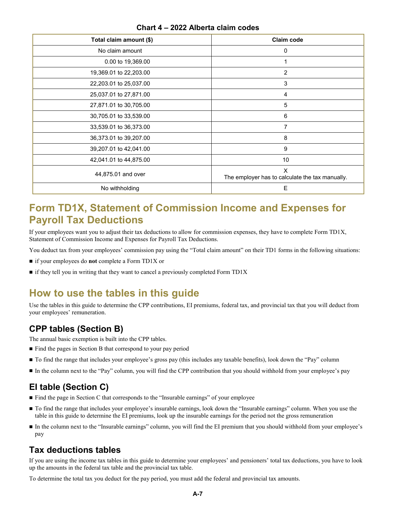| Total claim amount (\$) | Claim code                                           |
|-------------------------|------------------------------------------------------|
| No claim amount         | 0                                                    |
| 0.00 to 19,369.00       |                                                      |
| 19,369.01 to 22,203.00  | 2                                                    |
| 22,203.01 to 25,037.00  | 3                                                    |
| 25,037.01 to 27,871.00  | 4                                                    |
| 27,871.01 to 30,705.00  | 5                                                    |
| 30,705.01 to 33,539.00  | 6                                                    |
| 33,539.01 to 36,373.00  | 7                                                    |
| 36,373.01 to 39,207.00  | 8                                                    |
| 39,207.01 to 42,041.00  | 9                                                    |
| 42,041.01 to 44,875.00  | 10                                                   |
| 44,875.01 and over      | X<br>The employer has to calculate the tax manually. |
| No withholding          | E                                                    |

#### **Chart 4 – 2022 Alberta claim codes**

### **Form TD1X, Statement of Commission Income and Expenses for Payroll Tax Deductions**

If your employees want you to adjust their tax deductions to allow for commission expenses, they have to complete Form TD1X, Statement of Commission Income and Expenses for Payroll Tax Deductions.

You deduct tax from your employees' commission pay using the "Total claim amount" on their TD1 forms in the following situations:

- if your employees do **not** complete a Form TD1X or
- $\blacksquare$  if they tell you in writing that they want to cancel a previously completed Form TD1X

### **How to use the tables in this guide**

Use the tables in this guide to determine the CPP contributions, EI premiums, federal tax, and provincial tax that you will deduct from your employees' remuneration.

### **CPP tables (Section B)**

The annual basic exemption is built into the CPP tables.

- Find the pages in Section B that correspond to your pay period
- To find the range that includes your employee's gross pay (this includes any taxable benefits), look down the "Pay" column
- In the column next to the "Pay" column, you will find the CPP contribution that you should withhold from your employee's pay

### **EI table (Section C)**

- Find the page in Section C that corresponds to the "Insurable earnings" of your employee
- $\blacksquare$  To find the range that includes your employee's insurable earnings, look down the "Insurable earnings" column. When you use the table in this guide to determine the EI premiums, look up the insurable earnings for the period not the gross remuneration
- In the column next to the "Insurable earnings" column, you will find the EI premium that you should withhold from your employee's pay

### **Tax deductions tables**

If you are using the income tax tables in this guide to determine your employees' and pensioners' total tax deductions, you have to look up the amounts in the federal tax table and the provincial tax table.

To determine the total tax you deduct for the pay period, you must add the federal and provincial tax amounts.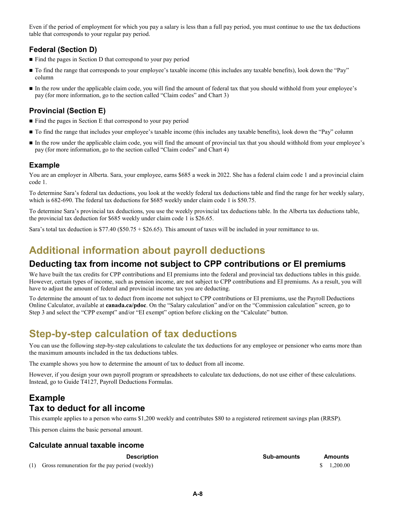Even if the period of employment for which you pay a salary is less than a full pay period, you must continue to use the tax deductions table that corresponds to your regular pay period.

### **Federal (Section D)**

- Find the pages in Section D that correspond to your pay period
- To find the range that corresponds to your employee's taxable income (this includes any taxable benefits), look down the "Pay" column
- In the row under the applicable claim code, you will find the amount of federal tax that you should withhold from your employee's pay (for more information, go to the section called "Claim codes" and Chart 3)

#### **Provincial (Section E)**

- Find the pages in Section E that correspond to your pay period
- To find the range that includes your employee's taxable income (this includes any taxable benefits), look down the "Pay" column
- In the row under the applicable claim code, you will find the amount of provincial tax that you should withhold from your employee's pay (for more information, go to the section called "Claim codes" and Chart 4)

#### **Example**

You are an employer in Alberta. Sara, your employee, earns \$685 a week in 2022. She has a federal claim code 1 and a provincial claim code 1.

To determine Sara's federal tax deductions, you look at the weekly federal tax deductions table and find the range for her weekly salary, which is 682-690. The federal tax deductions for \$685 weekly under claim code 1 is \$50.75.

To determine Sara's provincial tax deductions, you use the weekly provincial tax deductions table. In the Alberta tax deductions table, the provincial tax deduction for \$685 weekly under claim code 1 is \$26.65.

Sara's total tax deduction is  $$77.40 ($50.75 + $26.65)$ . This amount of taxes will be included in your remittance to us.

### **Additional information about payroll deductions**

### **Deducting tax from income not subject to CPP contributions or EI premiums**

We have built the tax credits for CPP contributions and EI premiums into the federal and provincial tax deductions tables in this guide. However, certain types of income, such as pension income, are not subject to CPP contributions and EI premiums. As a result, you will have to adjust the amount of federal and provincial income tax you are deducting.

To determine the amount of tax to deduct from income not subject to CPP contributions or EI premiums, use the Payroll Deductions Online Calculator, available at **canada.ca/pdoc**. On the "Salary calculation" and/or on the "Commission calculation" screen, go to Step 3 and select the "CPP exempt" and/or "EI exempt" option before clicking on the "Calculate" button.

### **Step-by-step calculation of tax deductions**

You can use the following step-by-step calculations to calculate the tax deductions for any employee or pensioner who earns more than the maximum amounts included in the tax deductions tables.

The example shows you how to determine the amount of tax to deduct from all income.

However, if you design your own payroll program or spreadsheets to calculate tax deductions, do not use either of these calculations. Instead, go to Guide T4127, Payroll Deductions Formulas.

### **Example Tax to deduct for all income**

This example applies to a person who earns \$1,200 weekly and contributes \$80 to a registered retirement savings plan (RRSP).

This person claims the basic personal amount.

#### **Calculate annual taxable income**

(1) Gross remuneration for the pay period (weekly)  $\qquad$  1,200.00

**Description Sub-amounts Amounts**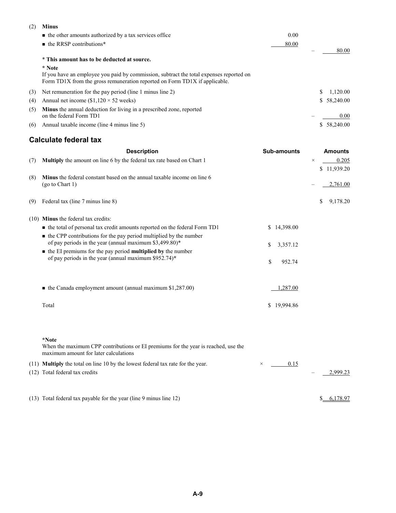| (2) | <b>Minus</b>                                                                                                                                                                    |       |              |
|-----|---------------------------------------------------------------------------------------------------------------------------------------------------------------------------------|-------|--------------|
|     | $\blacksquare$ the other amounts authorized by a tax services office                                                                                                            | 0.00  |              |
|     | $\blacksquare$ the RRSP contributions*                                                                                                                                          | 80.00 |              |
|     | * This amount has to be deducted at source.                                                                                                                                     |       | 80.00        |
|     | * Note<br>If you have an employee you paid by commission, subtract the total expenses reported on<br>Form TD1X from the gross remuneration reported on Form TD1X if applicable. |       |              |
| (3) | Net remuneration for the pay period (line 1 minus line 2)                                                                                                                       |       | 1.120.00     |
| (4) | Annual net income $(\$1,120 \times 52$ weeks)                                                                                                                                   |       | \$ 58,240.00 |
| (5) | <b>Minus</b> the annual deduction for living in a prescribed zone, reported<br>on the federal Form TD1                                                                          |       | 0.00         |
| (6) | Annual taxable income (line 4 minus line 5)                                                                                                                                     |       | \$ 58,240.00 |

#### **Calculate federal tax**

|     | <b>Description</b>                                                                                                                         | <b>Sub-amounts</b> |          | <b>Amounts</b>          |
|-----|--------------------------------------------------------------------------------------------------------------------------------------------|--------------------|----------|-------------------------|
| (7) | Multiply the amount on line 6 by the federal tax rate based on Chart 1                                                                     |                    | $\times$ | 0.205                   |
| (8) | Minus the federal constant based on the annual taxable income on line 6<br>(go to Chart 1)                                                 |                    |          | \$11,939.20<br>2,761.00 |
| (9) | Federal tax (line 7 minus line 8)                                                                                                          |                    | \$       | 9,178.20                |
|     | (10) Minus the federal tax credits:                                                                                                        |                    |          |                         |
|     | • the total of personal tax credit amounts reported on the federal Form TD1                                                                | \$14,398.00        |          |                         |
|     | • the CPP contributions for the pay period multiplied by the number<br>of pay periods in the year (annual maximum \$3,499.80)*             | \$<br>3,357.12     |          |                         |
|     | $\blacksquare$ the EI premiums for the pay period <b>multiplied by</b> the number<br>of pay periods in the year (annual maximum \$952.74)* | \$<br>952.74       |          |                         |
|     | $\blacksquare$ the Canada employment amount (annual maximum \$1,287.00)                                                                    | 1,287.00           |          |                         |
|     | Total                                                                                                                                      | \$19,994.86        |          |                         |
|     | *Note<br>When the maximum CPP contributions or EI premiums for the year is reached, use the<br>maximum amount for later calculations       |                    |          |                         |
|     | (11) Multiply the total on line 10 by the lowest federal tax rate for the year.<br>(12) Total federal tax credits                          | 0.15<br>$\times$   |          | 2.999.23                |

(13) Total federal tax payable for the year (line 9 minus line 12)  $\frac{$6,178.97}{10}$